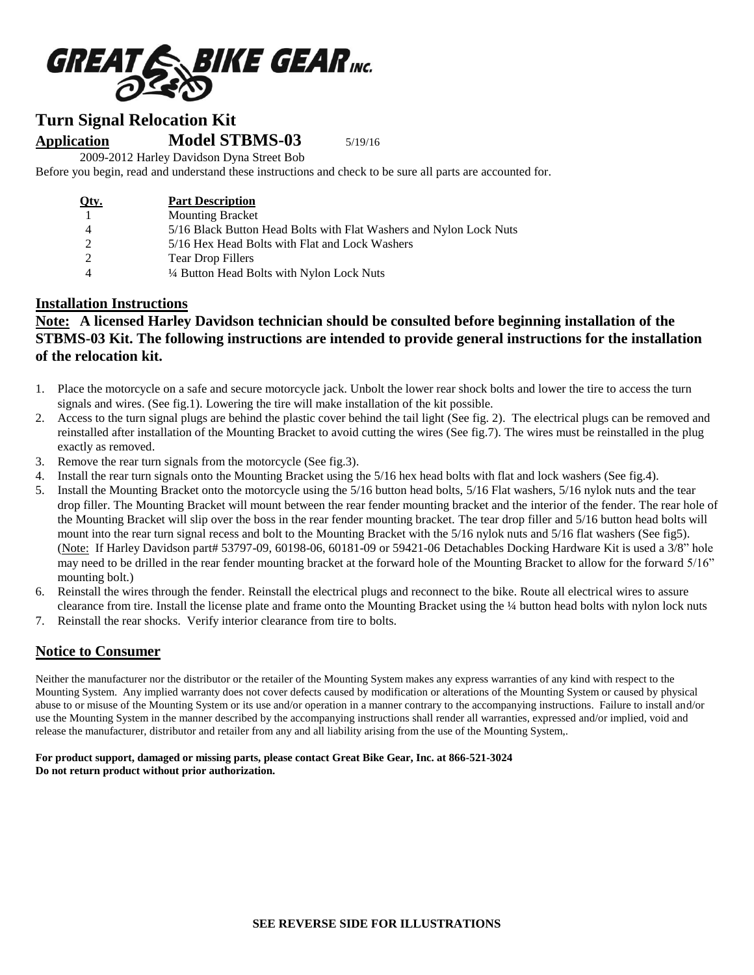

# **Turn Signal Relocation Kit**

**Application Model STBMS-03** 5/19/16

2009-2012 Harley Davidson Dyna Street Bob

Before you begin, read and understand these instructions and check to be sure all parts are accounted for.

| Qty. | <b>Part Description</b>                                            |
|------|--------------------------------------------------------------------|
|      | <b>Mounting Bracket</b>                                            |
|      | 5/16 Black Button Head Bolts with Flat Washers and Nylon Lock Nuts |
|      | 5/16 Hex Head Bolts with Flat and Lock Washers                     |
|      | <b>Tear Drop Fillers</b>                                           |
|      | 1/4 Button Head Bolts with Nylon Lock Nuts                         |

### **Installation Instructions**

# **Note: A licensed Harley Davidson technician should be consulted before beginning installation of the STBMS-03 Kit. The following instructions are intended to provide general instructions for the installation of the relocation kit.**

- 1. Place the motorcycle on a safe and secure motorcycle jack. Unbolt the lower rear shock bolts and lower the tire to access the turn signals and wires. (See fig.1). Lowering the tire will make installation of the kit possible.
- 2. Access to the turn signal plugs are behind the plastic cover behind the tail light (See fig. 2). The electrical plugs can be removed and reinstalled after installation of the Mounting Bracket to avoid cutting the wires (See fig.7). The wires must be reinstalled in the plug exactly as removed.
- 3. Remove the rear turn signals from the motorcycle (See fig.3).
- 4. Install the rear turn signals onto the Mounting Bracket using the 5/16 hex head bolts with flat and lock washers (See fig.4).
- 5. Install the Mounting Bracket onto the motorcycle using the 5/16 button head bolts, 5/16 Flat washers, 5/16 nylok nuts and the tear drop filler. The Mounting Bracket will mount between the rear fender mounting bracket and the interior of the fender. The rear hole of the Mounting Bracket will slip over the boss in the rear fender mounting bracket. The tear drop filler and 5/16 button head bolts will mount into the rear turn signal recess and bolt to the Mounting Bracket with the 5/16 nylok nuts and 5/16 flat washers (See fig5). (Note: If Harley Davidson part# 53797-09, 60198-06, 60181-09 or 59421-06 Detachables Docking Hardware Kit is used a 3/8" hole may need to be drilled in the rear fender mounting bracket at the forward hole of the Mounting Bracket to allow for the forward 5/16" mounting bolt.)
- 6. Reinstall the wires through the fender. Reinstall the electrical plugs and reconnect to the bike. Route all electrical wires to assure clearance from tire. Install the license plate and frame onto the Mounting Bracket using the ¼ button head bolts with nylon lock nuts
- 7. Reinstall the rear shocks. Verify interior clearance from tire to bolts.

## **Notice to Consumer**

Neither the manufacturer nor the distributor or the retailer of the Mounting System makes any express warranties of any kind with respect to the Mounting System. Any implied warranty does not cover defects caused by modification or alterations of the Mounting System or caused by physical abuse to or misuse of the Mounting System or its use and/or operation in a manner contrary to the accompanying instructions. Failure to install and/or use the Mounting System in the manner described by the accompanying instructions shall render all warranties, expressed and/or implied, void and release the manufacturer, distributor and retailer from any and all liability arising from the use of the Mounting System,.

#### **For product support, damaged or missing parts, please contact Great Bike Gear, Inc. at 866-521-3024 Do not return product without prior authorization.**